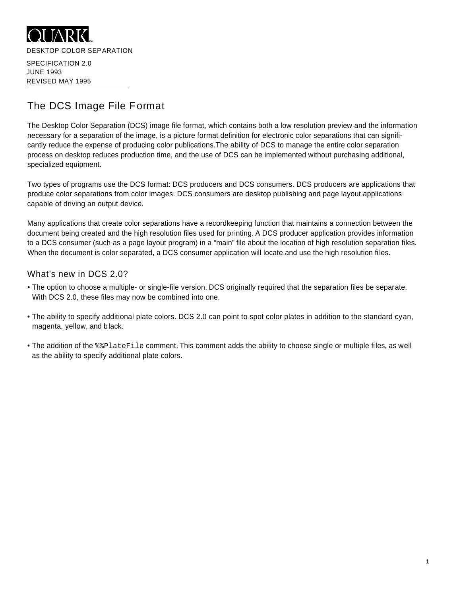

JUNE 1993 REVISED MAY 1995

# The DCS Image File Format

The Desktop Color Separation (DCS) image file format, which contains both a low resolution preview and the information necessary for a separation of the image, is a picture format definition for electronic color separations that can significantly reduce the expense of producing color publications. The ability of DCS to manage the entire color separation process on desktop reduces production time, and the use of DCS can be implemented without purchasing additional, specialized equipment.

Two types of programs use the DCS format: DCS producers and DCS consumers. DCS producers are applications that produce color separations from color images. DCS consumers are desktop publishing and page layout applications capable of driving an output device.

Many applications that create color separations have a recordkeeping function that maintains a connection between the document being created and the high resolution files used for printing. A DCS producer application provides information to a DCS consumer (such as a page layout program) in a "main" file about the location of high resolution separation files. When the document is color separated, a DCS consumer application will locate and use the high resolution files.

#### What's new in DCS 2.0?

- The option to choose a multiple- or single-file version. DCS originally required that the separation files be separate. With DCS 2.0, these files may now be combined into one.
- The ability to specify additional plate colors. DCS 2.0 can point to spot color plates in addition to the standard cyan, magenta, yellow, and black.
- The addition of the  $\frac{1}{2}$  at explate File comment. This comment adds the ability to choose single or multiple files, as well as the ability to specify additional plate colors.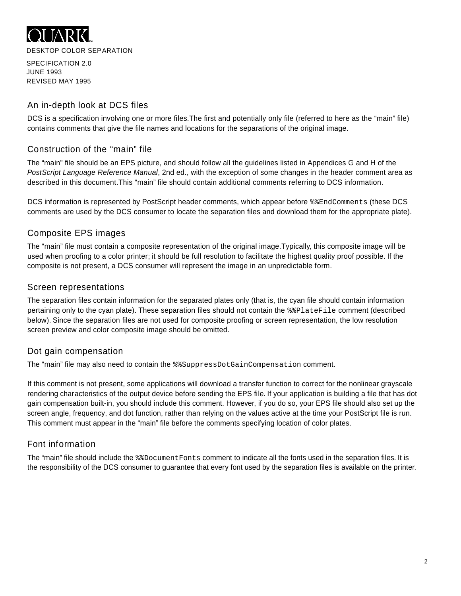

# An in-depth look at DCS files

DCS is a specification involving one or more files. The first and potentially only file (referred to here as the "main" file) contains comments that give the file names and locations for the separations of the original image.

# Construction of the "main" file

The "main" file should be an EPS picture, and should follow all the guidelines listed in Appendices G and H of the PostScript Language Reference Manual, 2nd ed., with the exception of some changes in the header comment area as described in this document. This "main" file should contain additional comments referring to DCS information.

DCS information is represented by PostScript header comments, which appear before  $\frac{1}{2}$  EndComments (these DCS comments are used by the DCS consumer to locate the separation files and download them for the appropriate plate).

# Composite EPS images

The "main" file must contain a composite representation of the original image.Typically, this composite image will be used when proofing to a color printer; it should be full resolution to facilitate the highest quality proof possible. If the composite is not present, a DCS consumer will represent the image in an unpredictable form.

### Screen representations

The separation files contain information for the separated plates only (that is, the cyan file should contain information pertaining only to the cyan plate). These separation files should not contain the  $\frac{1}{2}$  at eFile comment (described below). Since the separation files are not used for composite proofing or screen representation, the low resolution screen preview and color composite image should be omitted.

# Dot gain compensation

The "main" file may also need to contain the %% SuppressDotGainCompensation comment.

If this comment is not present, some applications will download a transfer function to correct for the nonlinear grayscale rendering characteristics of the output device before sending the EPS file. If your application is building a file that has dot gain compensation built-in, you should include this comment. However, if you do so, your EPS file should also set up the screen angle, frequency, and dot function, rather than relying on the values active at the time your PostScript file is run. This comment must appear in the "main" file before the comments specifying location of color plates.

# Font information

The "main" file should include the %%Document Fonts comment to indicate all the fonts used in the separation files. It is the responsibility of the DCS consumer to guarantee that every font used by the separation files is available on the printer.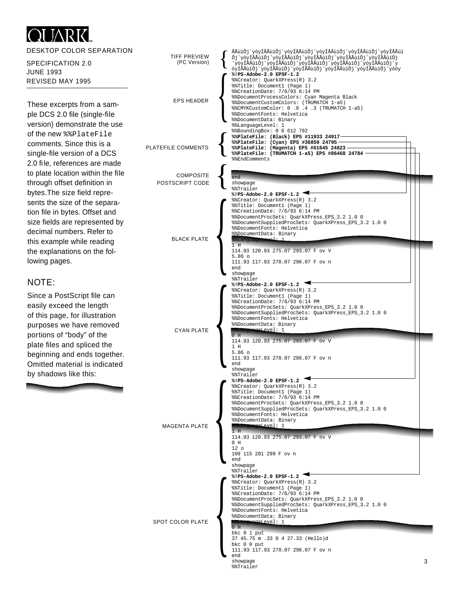#### **OLIARK** DESKTOP COLOR SEPARATION {ĂĂŭïÔjˇyòyÍĂĂŭïÔjˇyòyÍĂĂŭïÔjˇyòyÍĂĂŭïÔjˇyòyÍĂĂŭïÔjˇyòyÍĂĂŭï<br>ÔjˇyòyÍÅÅŭïÔjˇyòyÍÅÅŭïÔjˇyòyÍÅÅŭïÔjˇyòyÍÅÅŭïÔjˇyòyÍÅÅŭïÔj TIFF PREVIEW SPECIFICATION 2.0 (PC Version) ˇ y ò y Í Å Å ù ï Ô j ˇ y ò y Í Å Å ù ï Ô j ˇ y ò y Í Å Å ù ï Ô j ˇ y ò y Í Å Å ù ï Ô j ˇ y ò y Í Å Å ù ï Ô j ˇ y ò y Í Å Å ù ï Ô j ˇ y ò y Í Å Å ù ï Ô j ˇ y ò y Í Å Å ù ï Ô j ˇ y ò y Í Å Å ù ï Ô j ˇ y ò y Í Å Å ù ï Ô j ˇ y ò ò y JUNE 1993 **%!PS-Adobe-2.0 EPSF-1.2** REVISED MAY 1995 %%Creator: QuarkXPress(R) 3.2 %%Title: Document1 (Page 1) %%CreationDate: 7/6/93 6:14 PM %%DocumentProcessColors: Cyan Magenta Black  $\left\{ \right.$ EPS HEADER %%DocumentCustomColors: (TRUMATCH 1-a5) These excerpts from a sam-%%CMYKCustomColor: 0 .9 .4 .3 (TRUMATCH 1-a5) ple DCS 2.0 file (single-file %%DocumentFonts: Helvetica %%DocumentData: Binary version) demonstrate the use %%LanguageLevel: 1 %%BoundingBox: 0 0 612 792 of the new % & PlateFile { **%%PlateFile: (Black) EPS #11933 24917 %%PlateFile: (Cyan) EPS #36850 24795**  comments. Since this is a PLATEFILE COMMENTS **%%PlateFile: (Magenta) EPS #61645 24823**  single-file version of a DCS **%%PlateFile: (TRUMATCH 1-a5) EPS #86468 24784**  %% & EndComments 2.0 file, references are made { to plate location within the file **COMPOSITE** e n d through offset definition in POSTSCRIPT CODE showpage % % T r a i l e r bytes. The size field repre-**%!PS-Adobe-2.0 EPSF-1.2** %%Creator: QuarkXPress(R) 3.2 sents the size of the separa-%%Title: Document1 (Page 1) %%CreationDate: 7/6/93 6:14 PM tion file in bytes. Offset and %%DocumentProcSets: QuarkXPress\_EPS\_3.2 1.0 0 size fields are represented by %%DocumentSuppliedProcSets: QuarkXPress\_EPS\_3.2 1.0 0 %%DocumentFonts: Helvetica decimal numbers. Refer to %%DocumentData: Binary BLACK PLATE %%LanguageLevelie this example while reading  $\vert$  $H$ 114.93 120.93 275.07 293.07 F ov V the explanations on the fol-5.86 o lowing pages. 111.93 117.93 278.07 296.07 F ov n end showpage % % T r a i l e r **NOTE: %!PS-Adobe-2.0 EPSF-1.2** %%Creator: QuarkXPress(R) 3.2 Since a PostScript file can %%Title: Document1 (Page 1) %%CreationDate: 7/6/93 6:14 PM easily exceed the length %%DocumentProcSets: QuarkXPress\_EPS\_3.2 1.0 0 %%DocumentSuppliedProcSets: QuarkXPress\_EPS\_3.2 1.0 0 of this page, for illustration %%DocumentFonts: Helvetica purposes we have removed %%DocumentData: Binary CYAN PLATE  $L$ evel: 1  $\begin{matrix} \hline \end{matrix}$ portions of "body" of the 0 H 114.93 120.93 275.07 293.07 F ov V plate files and spliced the 1 H 5.86 o beginning and ends together. 111.93 117.93 278.07 296.07 F ov n Omitted material is indicated end showpage by shadows like this: % % T r a i l e r **%!PS-Adobe-2.0 EPSF-1.2** %%Creator: QuarkXPress(R) 3.2 %%Title: Document1 (Page 1) %%CreationDate: 7/6/93 6:14 PM %%DocumentProcSets: QuarkXPress\_EPS\_3.2 1.0 0 %%DocumentSuppliedProcSets: QuarkXPress\_EPS\_3.2 1.0 0 %%DocumentFonts: Helvetica %%DocumentData: Binary MAGENTA PLATE %%LanguageLevel: 1  $\begin{matrix} \hline \end{matrix}$ 1 H 114.93 120.93 275.07 293.07 F ov V 0 H  $12<sub>0</sub>$ 109 115 281 299 F ov n e n d showpage % % T r a i l e r **%!PS-Adobe-2.0 EPSF-1.2** %%Creator: QuarkXPress(R) 3.2 %%Title: Document1 (Page 1) %%CreationDate: 7/6/93 6:14 PM %%DocumentProcSets: QuarkXPress\_EPS\_3.2 1.0 0 %%DocumentSuppliedProcSets: QuarkXPress\_EPS\_3.2 1.0 0 %%DocumentFonts: Helvetica %%DocumentData: Binary SPOT COLOR PLATE  $L$ avel: 1  $\begin{matrix} \hline \end{matrix}$  $0$  H bkc 0 1 put 37 45.75 m .33 0 4 27.33 (Hello)d bkc 0 0 put 111.93 117.93 278.07 296.07 F ov n e n d  $showpace$ 3 =========<br>%%Trailer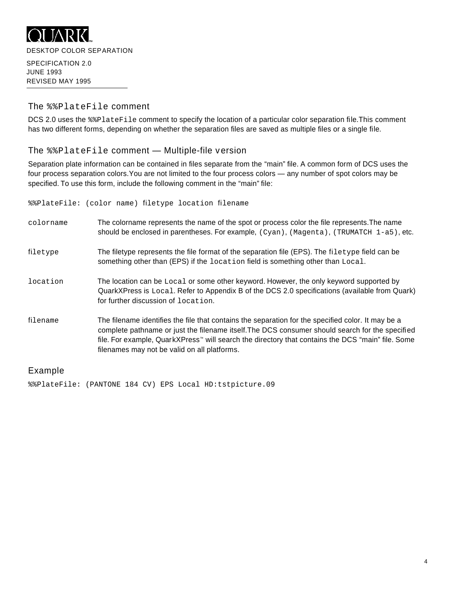

#### The % & Plate File comment

DCS 2.0 uses the  $\frac{2}{2}$ PlateFile comment to specify the location of a particular color separation file. This comment has two different forms, depending on whether the separation files are saved as multiple files or a single file.

#### The  $\frac{1}{2}$  Plate File comment — Multiple-file version

Separation plate information can be contained in files separate from the "main" file. A common form of DCS uses the four process separation colors.You are not limited to the four process colors — any number of spot colors may be specified. To use this form, include the following comment in the "main" file:

%%PlateFile: (color name) filetype location filename colorname The colorname represents the name of the spot or process color the file represents. The name should be enclosed in parentheses. For example,  $(Cyan)$ ,  $(Magent)$ ,  $(TRUMATCH 1-a5)$ , etc. filetype The filetype represents the file format of the separation file (EPS). The filetype field can be something other than (EPS) if the location field is something other than  $Local$ . location The location can be Local or some other keyword. However, the only keyword supported by QuarkXPress is Local. Refer to Appendix B of the DCS 2.0 specifications (available from Quark) for further discussion of  $l$  ocation filename The filename identifies the file that contains the separation for the specified color. It may be a complete pathname or just the filename itself. The DCS consumer should search for the specified file. For example, Quark X Press™ will search the directory that contains the DCS "main" file. Some filenames may not be valid on all platforms.

#### **Example**

%%PlateFile: (PANTONE 184 CV) EPS Local HD:tstpicture.09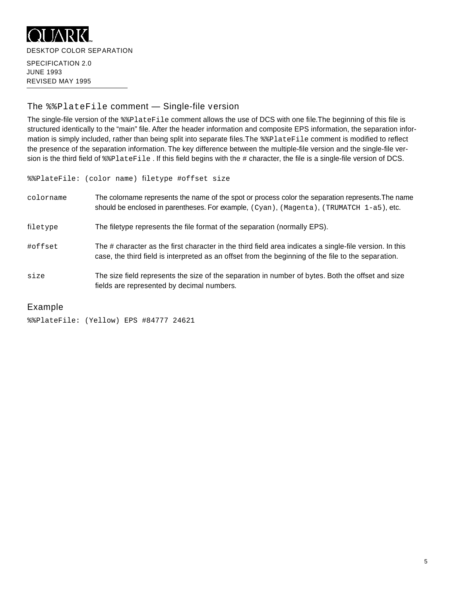

#### The  $*$  PlateFile comment - Single-file version

The single-file version of the %%PlateFile comment allows the use of DCS with one file. The beginning of this file is structured identically to the "main" file. After the header information and composite EPS information, the separation information is simply included, rather than being split into separate files. The  $\frac{2}{2}$ PlateFile comment is modified to reflect the presence of the separation information. The key difference between the multiple-file version and the single-file version is the third field of  $\ell$  Plate File. If this field begins with the  $\#$  character, the file is a single-file version of DCS.

%%PlateFile: (color name) filetype #offset size

| colorname | The colorname represents the name of the spot or process color the separation represents. The name<br>should be enclosed in parentheses. For example, (Cyan), (Magenta), (TRUMATCH 1-a5), etc.                 |
|-----------|----------------------------------------------------------------------------------------------------------------------------------------------------------------------------------------------------------------|
| filetype  | The filetype represents the file format of the separation (normally EPS).                                                                                                                                      |
| #offset   | The # character as the first character in the third field area indicates a single-file version. In this<br>case, the third field is interpreted as an offset from the beginning of the file to the separation. |
| size      | The size field represents the size of the separation in number of bytes. Both the offset and size<br>fields are represented by decimal numbers.                                                                |

#### **Example**

%%PlateFile: (Yellow) EPS #84777 24621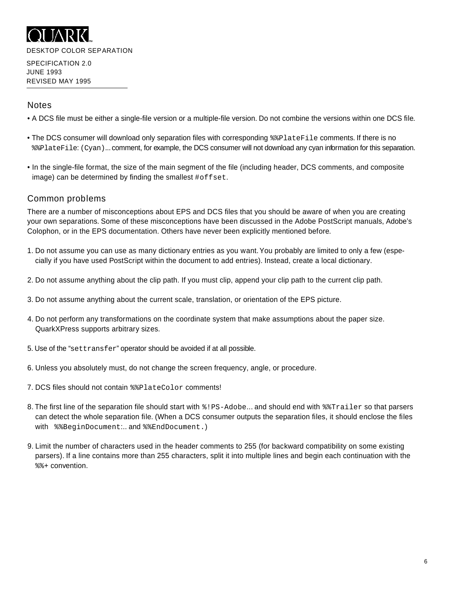

### **Notes**

- A DCS file must be either a single-file version or a multiple-file version. Do not combine the versions within one DCS file.
- The DCS consumer will download only separation files with corresponding  $\frac{1}{2}$  and  $\frac{1}{2}$  comments. If there is no % & Plate File: (Cyan)... comment, for example, the DCS consumer will not download any cyan information for this separation.
- In the single-file format, the size of the main segment of the file (including header, DCS comments, and composite image) can be determined by finding the smallest  $# \circ f f$  set.

#### Common problems

There are a number of misconceptions about EPS and DCS files that you should be aware of when you are creating your own separations. Some of these misconceptions have been discussed in the Adobe PostScript manuals, Adobe's Colophon, or in the EPS documentation. Others have never been explicitly mentioned before.

- 1. Do not assume you can use as many dictionary entries as you want. You probably are limited to only a few (especially if you have used PostScript within the document to add entries). Instead, create a local dictionary.
- 2 . Do not assume anything about the clip path. If you must clip, append your clip path to the current clip path.
- 3 . Do not assume anything about the current scale, translation, or orientation of the EPS picture.
- 4. Do not perform any transformations on the coordinate system that make assumptions about the paper size. QuarkXPress supports arbitrary sizes.
- 5. Use of the " $settransfer$ " operator should be avoided if at all possible.
- 6 . Unless you absolutely must, do not change the screen frequency, angle, or procedure.
- 7. DCS files should not contain  $\frac{1}{2}$ PlateColor comments!
- 8. The first line of the separation file should start with  $\frac{1}{2}$  PS-Adobe... and should end with  $\frac{1}{2}$  Trailer so that parsers can detect the whole separation file. (When a DCS consumer outputs the separation files, it should enclose the files with %% Begin Document... and % & End Document.)
- 9. Limit the number of characters used in the header comments to 255 (for backward compatibility on some existing parsers). If a line contains more than 255 characters, split it into multiple lines and begin each continuation with the  $% * \cdot$  convention.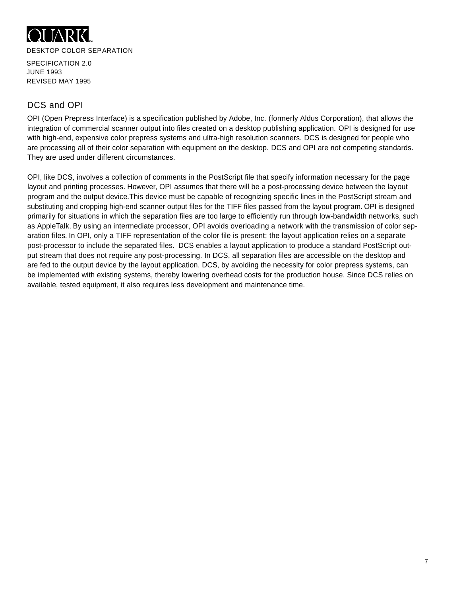

# DCS and OPI

OPI (Open Prepress Interface) is a specification published by Adobe, Inc. (formerly Aldus Corporation), that allows the integration of commercial scanner output into files created on a desktop publishing application. OPI is designed for use with high-end, expensive color prepress systems and ultra-high resolution scanners. DCS is designed for people who are processing all of their color separation with equipment on the desktop. DCS and OPI are not competing standards. They are used under different circumstances.

OPI, like DCS, involves a collection of comments in the PostScript file that specify information necessary for the page layout and printing processes. However, OPI assumes that there will be a post-processing device between the layout program and the output device. This device must be capable of recognizing specific lines in the PostScript stream and substituting and cropping high-end scanner output files for the TIFF files passed from the layout program. OPI is designed primarily for situations in which the separation files are too large to efficiently run through low-bandwidth networks, such as AppleTalk. By using an intermediate processor, OPI avoids overloading a network with the transmission of color separation files. In OPI, only a TIFF representation of the color file is present; the layout application relies on a separate post-processor to include the separated files. DCS enables a layout application to produce a standard PostScript output stream that does not require any post-processing. In DCS, all separation files are accessible on the desktop and are fed to the output device by the layout application. DCS, by avoiding the necessity for color prepress systems, can be implemented with existing systems, thereby lowering overhead costs for the production house. Since DCS relies on available, tested equipment, it also requires less development and maintenance time.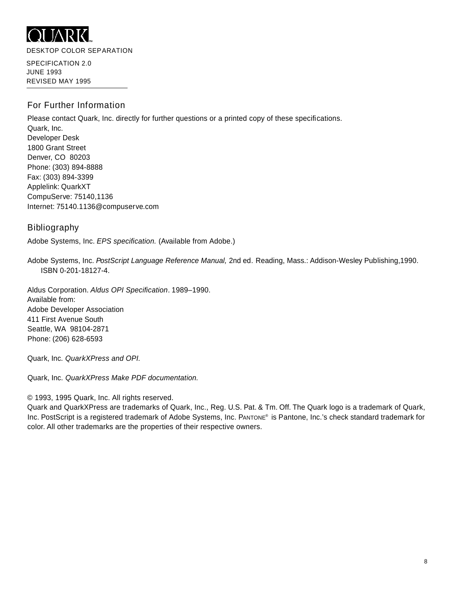

DESKTOP COLOR SEPARATION

SPECIFICATION 2.0 JUNE 1993 REVISED MAY 1995

# For Further Information

Please contact Quark, Inc. directly for further questions or a printed copy of these specifications. Quark, Inc. Developer Desk 1800 Grant Street Denver, CO 80203 Phone: (303) 894-8888 Fax: (303) 894-3399 Applelink: QuarkXT CompuServe: 75140,1136 Internet: 75140.1136@compuserve.com

#### **Bibliography**

Adobe Systems, Inc. *EPS specification.* (Available from Adobe.)

Adobe Systems, Inc. PostScript Language Reference Manual, 2nd ed. Reading, Mass.: Addison-Wesley Publishing, 1990. ISBN 0-201-18127-4.

Aldus Corporation. Aldus OPI Specification. 1989-1990. Available from: Adobe Developer Association 411 First Avenue South Seattle, WA 98104-2871 Phone: (206) 628-6593

Quark, Inc. QuarkXPress and OPI.

Quark, Inc. *QuarkXPress Make PDF documentation*.

© 1993, 1995 Quark, Inc. All rights reserved.

Quark and QuarkXPress are trademarks of Quark, Inc., Reg. U.S. Pat. & Tm. Off. The Quark logo is a trademark of Quark, Inc. PostScript is a registered trademark of Adobe Systems, Inc. PANTONE® is Pantone, Inc.'s check standard trademark for color. All other trademarks are the properties of their respective owners.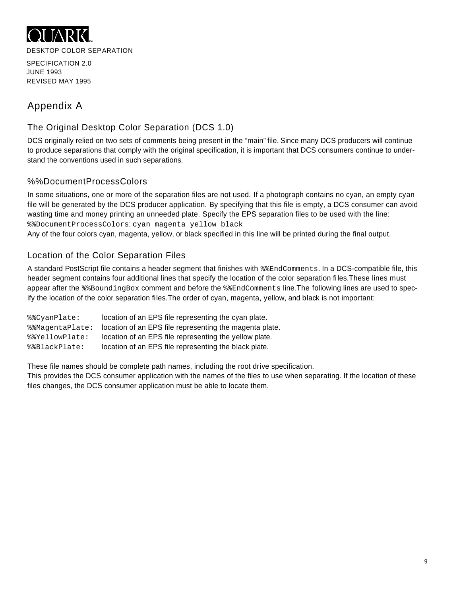

# Appendix A

# The Original Desktop Color Separation (DCS 1.0)

DCS originally relied on two sets of comments being present in the "main" file. Since many DCS producers will continue to produce separations that comply with the original specification, it is important that DCS consumers continue to understand the conventions used in such separations.

# %%DocumentProcessColors

In some situations, one or more of the separation files are not used. If a photograph contains no cyan, an empty cyan file will be generated by the DCS producer application. By specifying that this file is empty, a DCS consumer can avoid wasting time and money printing an unneeded plate. Specify the EPS separation files to be used with the line: %%DocumentProcessColors: cyan magenta yellow black

Any of the four colors cyan, magenta, yellow, or black specified in this line will be printed during the final output.

# Location of the Color Separation Files

A standard PostScript file contains a header segment that finishes with \$\$EndComments. In a DCS-compatible file, this header segment contains four additional lines that specify the location of the color separation files. These lines must appear after the  $\frac{1}{2}$   $\frac{1}{2}$  and  $\frac{1}{2}$  comment and before the  $\frac{1}{2}$   $\frac{1}{2}$  and  $\frac{1}{2}$  and  $\frac{1}{2}$  ine. The following lines are used to specify the location of the color separation files. The order of cyan, magenta, yellow, and black is not important:

| %%CvanPlate:    | location of an EPS file representing the cyan plate.    |
|-----------------|---------------------------------------------------------|
| %%MagentaPlate: | location of an EPS file representing the magenta plate. |
| %%YellowPlate:  | location of an EPS file representing the yellow plate.  |
| %%BlackPlate:   | location of an EPS file representing the black plate.   |

These file names should be complete path names, including the root drive specification.

This provides the DCS consumer application with the names of the files to use when separating. If the location of these files changes, the DCS consumer application must be able to locate them.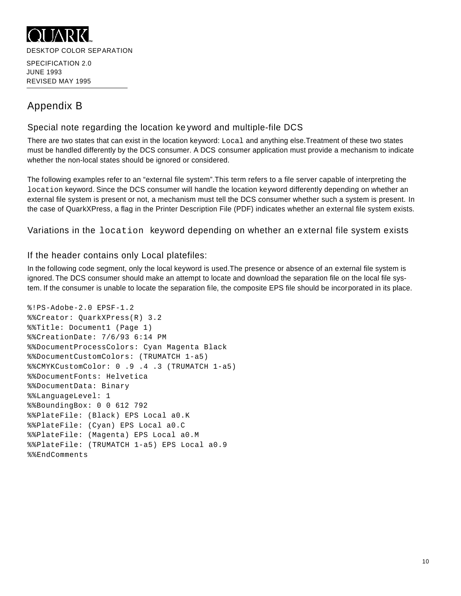

# Appendix B

# Special note regarding the location ke yword and multiple-file DCS

There are two states that can exist in the location keyword:  $Local$  and anything else.Treatment of these two states must be handled differently by the DCS consumer. A DCS consumer application must provide a mechanism to indicate whether the non-local states should be ignored or considered.

The following examples refer to an "external file system". This term refers to a file server capable of interpreting the location keyword. Since the DCS consumer will handle the location keyword differently depending on whether an external file system is present or not, a mechanism must tell the DCS consumer whether such a system is present. In the case of Quark X Press, a flag in the Printer Description File (PDF) indicates whether an external file system exists.

Variations in the location keyword depending on whether an external file system exists

#### If the header contains only Local platefiles:

In the following code segment, only the local keyword is used. The presence or absence of an external file system is ignored. The DCS consumer should make an attempt to locate and download the separation file on the local file system. If the consumer is unable to locate the separation file, the composite EPS file should be incorporated in its place.

```
%!PS-Adobe-2.0 EPSF-1.2
%%Creator: QuarkXPress(R) 3.2
%%Title: Document1 (Page 1)
%%CreationDate: 7/6/93 6:14 PM
%%DocumentProcessColors: Cyan Magenta Black
%%DocumentCustomColors: (TRUMATCH 1-a5)
%%CMYKCustomColor: 0 .9 .4 .3 (TRUMATCH 1-a5)
%%DocumentFonts: Helvetica
%%DocumentData: Binary
%%LanguageLevel: 1 
%%BoundingBox: 0 0 612 792 
%%PlateFile: (Black) EPS Local a0.K 
%%PlateFile: (Cyan) EPS Local a0.C
%%PlateFile: (Magenta) EPS Local a0.M
%%PlateFile: (TRUMATCH 1-a5) EPS Local a0.9
% % E n d C o m m e n t s
```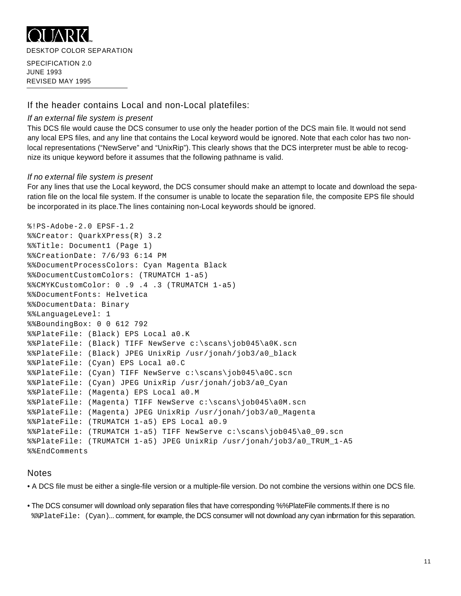

DESKTOP COLOR SEPARATION

SPECIFICATION 2.0 JUNE 1993 REVISED MAY 1995

# If the header contains Local and non-Local platefiles:

### *If an external file system is present*

This DCS file would cause the DCS consumer to use only the header portion of the DCS main file. It would not send any local EPS files, and any line that contains the Local keyword would be ignored. Note that each color has two nonlocal representations ("New Serve" and "Unix Rip"). This clearly shows that the DCS interpreter must be able to recognize its unique keyword before it assumes that the following pathname is valid.

### *If no external file system is present*

For any lines that use the Local keyword, the DCS consumer should make an attempt to locate and download the separation file on the local file system. If the consumer is unable to locate the separation file, the composite EPS file should be incorporated in its place. The lines containing non-Local key words should be ignored.

```
%!PS-Adobe-2.0 EPSF-1.2
%%Creator: QuarkXPress(R) 3.2
%%Title: Document1 (Page 1)
%%CreationDate: 7/6/93 6:14 PM
%%DocumentProcessColors: Cyan Magenta Black
%%DocumentCustomColors: (TRUMATCH 1-a5)
%%CMYKCustomColor: 0 .9 .4 .3 (TRUMATCH 1-a5)
%%DocumentFonts: Helvetica
%%DocumentData: Binary
%%LanguageLevel: 1 
%%BoundingBox: 0 0 612 792 
%%PlateFile: (Black) EPS Local a0.K 
%%PlateFile: (Black) TIFF NewServe c:\scans\job045\a0K.scn 
%%PlateFile: (Black) JPEG UnixRip /usr/jonah/job3/a0_black 
%%PlateFile: (Cyan) EPS Local a0.C 
%%PlateFile: (Cyan) TIFF NewServe c:\scans\job045\a0C.scn 
%%PlateFile: (Cyan) JPEG UnixRip /usr/jonah/job3/a0_Cyan 
%%PlateFile: (Magenta) EPS Local a0.M 
%%PlateFile: (Magenta) TIFF NewServe c:\scans\job045\a0M.scn 
%%PlateFile: (Magenta) JPEG UnixRip /usr/jonah/job3/a0_Magenta 
%%PlateFile: (TRUMATCH 1-a5) EPS Local a0.9 
%%PlateFile: (TRUMATCH 1-a5) TIFF NewServe c:\scans\job045\a0_09.scn 
%%PlateFile: (TRUMATCH 1-a5) JPEG UnixRip /usr/jonah/job3/a0_TRUM_1-A5 
% % E n d C o m m e n t s
```
# **Notes**

• A DCS file must be either a single-file version or a multiple-file version. Do not combine the versions within one DCS file.

• The DCS consumer will download only separation files that have corresponding %%PlateFile comments.If there is no %%PlateFile: (Cyan)... comment, for example, the DCS consumer will not download any cyan information for this separation.